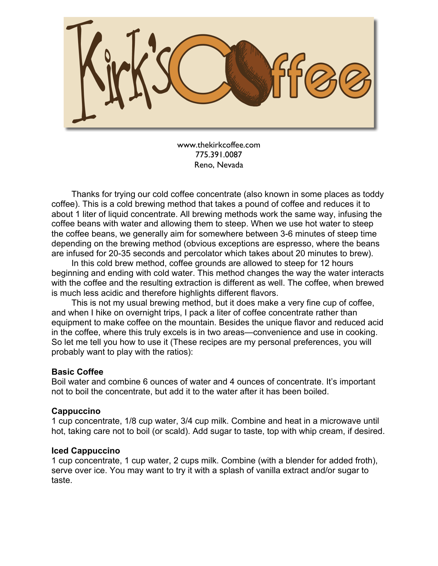

www.thekirkcoffee.com 775.391.0087 Reno, Nevada

Thanks for trying our cold coffee concentrate (also known in some places as toddy coffee). This is a cold brewing method that takes a pound of coffee and reduces it to about 1 liter of liquid concentrate. All brewing methods work the same way, infusing the coffee beans with water and allowing them to steep. When we use hot water to steep the coffee beans, we generally aim for somewhere between 3-6 minutes of steep time depending on the brewing method (obvious exceptions are espresso, where the beans are infused for 20-35 seconds and percolator which takes about 20 minutes to brew).

In this cold brew method, coffee grounds are allowed to steep for 12 hours beginning and ending with cold water. This method changes the way the water interacts with the coffee and the resulting extraction is different as well. The coffee, when brewed is much less acidic and therefore highlights different flavors.

This is not my usual brewing method, but it does make a very fine cup of coffee, and when I hike on overnight trips, I pack a liter of coffee concentrate rather than equipment to make coffee on the mountain. Besides the unique flavor and reduced acid in the coffee, where this truly excels is in two areas—convenience and use in cooking. So let me tell you how to use it (These recipes are my personal preferences, you will probably want to play with the ratios):

### **Basic Coffee**

Boil water and combine 6 ounces of water and 4 ounces of concentrate. It's important not to boil the concentrate, but add it to the water after it has been boiled.

# **Cappuccino**

1 cup concentrate, 1/8 cup water, 3/4 cup milk. Combine and heat in a microwave until hot, taking care not to boil (or scald). Add sugar to taste, top with whip cream, if desired.

### **Iced Cappuccino**

1 cup concentrate, 1 cup water, 2 cups milk. Combine (with a blender for added froth), serve over ice. You may want to try it with a splash of vanilla extract and/or sugar to taste.